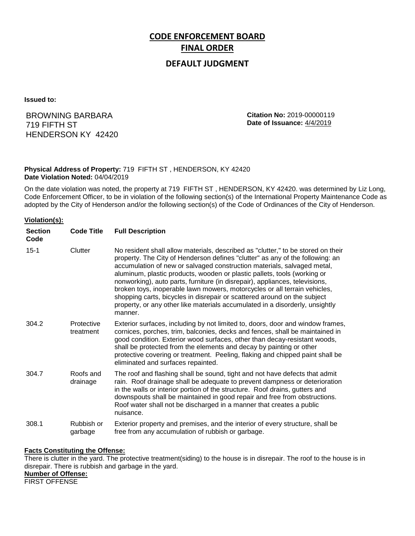# **CODE ENFORCEMENT BOARD FINAL ORDER**

## **DEFAULT JUDGMENT**

**Issued to:**

BROWNING BARBARA 719 FIFTH ST HENDERSON KY 42420 **Citation No:** 2019-00000119 **Date of Issuance:** 4/4/2019

#### **Physical Address of Property:** 719 FIFTH ST , HENDERSON, KY 42420 **Date Violation Noted:** 04/04/2019

On the date violation was noted, the property at 719 FIFTH ST , HENDERSON, KY 42420. was determined by Liz Long, Code Enforcement Officer, to be in violation of the following section(s) of the International Property Maintenance Code as adopted by the City of Henderson and/or the following section(s) of the Code of Ordinances of the City of Henderson.

#### **Violation(s):**

| <b>Section</b><br>Code | <b>Code Title</b>       | <b>Full Description</b>                                                                                                                                                                                                                                                                                                                                                                                                                                                                                                                                                                                                                                     |
|------------------------|-------------------------|-------------------------------------------------------------------------------------------------------------------------------------------------------------------------------------------------------------------------------------------------------------------------------------------------------------------------------------------------------------------------------------------------------------------------------------------------------------------------------------------------------------------------------------------------------------------------------------------------------------------------------------------------------------|
| $15 - 1$               | Clutter                 | No resident shall allow materials, described as "clutter," to be stored on their<br>property. The City of Henderson defines "clutter" as any of the following: an<br>accumulation of new or salvaged construction materials, salvaged metal,<br>aluminum, plastic products, wooden or plastic pallets, tools (working or<br>nonworking), auto parts, furniture (in disrepair), appliances, televisions,<br>broken toys, inoperable lawn mowers, motorcycles or all terrain vehicles,<br>shopping carts, bicycles in disrepair or scattered around on the subject<br>property, or any other like materials accumulated in a disorderly, unsightly<br>manner. |
| 304.2                  | Protective<br>treatment | Exterior surfaces, including by not limited to, doors, door and window frames,<br>cornices, porches, trim, balconies, decks and fences, shall be maintained in<br>good condition. Exterior wood surfaces, other than decay-resistant woods,<br>shall be protected from the elements and decay by painting or other<br>protective covering or treatment. Peeling, flaking and chipped paint shall be<br>eliminated and surfaces repainted.                                                                                                                                                                                                                   |
| 304.7                  | Roofs and<br>drainage   | The roof and flashing shall be sound, tight and not have defects that admit<br>rain. Roof drainage shall be adequate to prevent dampness or deterioration<br>in the walls or interior portion of the structure. Roof drains, gutters and<br>downspouts shall be maintained in good repair and free from obstructions.<br>Roof water shall not be discharged in a manner that creates a public<br>nuisance.                                                                                                                                                                                                                                                  |
| 308.1                  | Rubbish or<br>garbage   | Exterior property and premises, and the interior of every structure, shall be<br>free from any accumulation of rubbish or garbage.                                                                                                                                                                                                                                                                                                                                                                                                                                                                                                                          |

#### **Facts Constituting the Offense:**

There is clutter in the yard. The protective treatment(siding) to the house is in disrepair. The roof to the house is in disrepair. There is rubbish and garbage in the yard.

#### **Number of Offense:**

FIRST OFFENSE